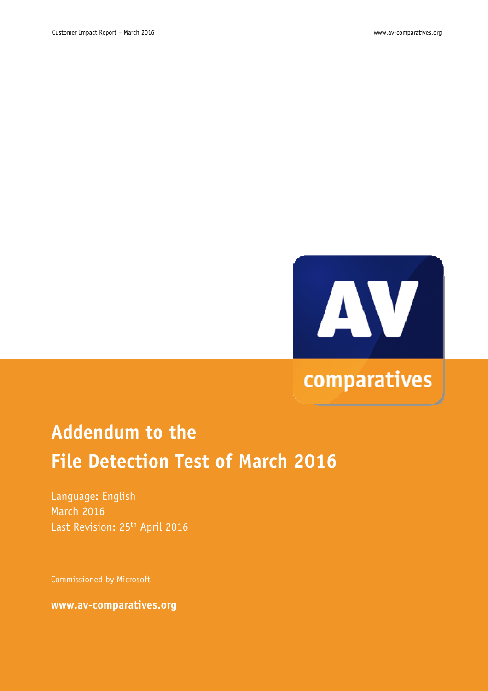

## comparatives

# **Addendum to the File Detection Test of March 2016**

Language: English March 2016 Last Revision: 25<sup>th</sup> April 2016

Commissioned by Microsoft

**www.av-comparatives.org**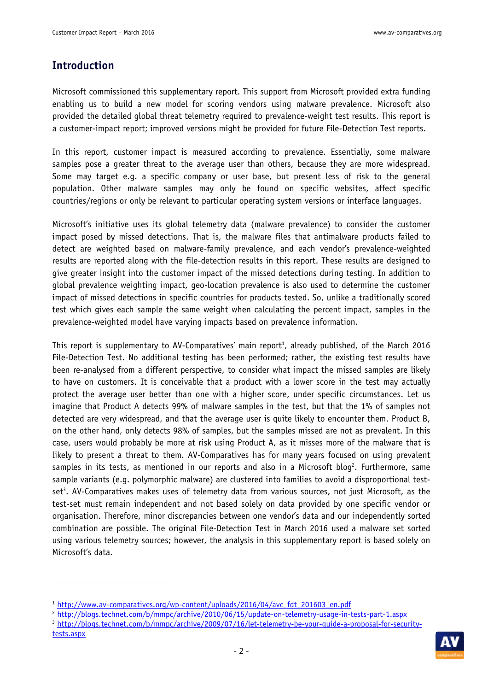### **Introduction**

l.

Microsoft commissioned this supplementary report. This support from Microsoft provided extra funding enabling us to build a new model for scoring vendors using malware prevalence. Microsoft also provided the detailed global threat telemetry required to prevalence-weight test results. This report is a customer-impact report; improved versions might be provided for future File-Detection Test reports.

In this report, customer impact is measured according to prevalence. Essentially, some malware samples pose a greater threat to the average user than others, because they are more widespread. Some may target e.g. a specific company or user base, but present less of risk to the general population. Other malware samples may only be found on specific websites, affect specific countries/regions or only be relevant to particular operating system versions or interface languages.

Microsoft's initiative uses its global telemetry data (malware prevalence) to consider the customer impact posed by missed detections. That is, the malware files that antimalware products failed to detect are weighted based on malware-family prevalence, and each vendor's prevalence-weighted results are reported along with the file-detection results in this report. These results are designed to give greater insight into the customer impact of the missed detections during testing. In addition to global prevalence weighting impact, geo-location prevalence is also used to determine the customer impact of missed detections in specific countries for products tested. So, unlike a traditionally scored test which gives each sample the same weight when calculating the percent impact, samples in the prevalence-weighted model have varying impacts based on prevalence information.

This report is supplementary to AV-Comparatives' main report<sup>1</sup>, already published, of the March 2016 File-Detection Test. No additional testing has been performed; rather, the existing test results have been re-analysed from a different perspective, to consider what impact the missed samples are likely to have on customers. It is conceivable that a product with a lower score in the test may actually protect the average user better than one with a higher score, under specific circumstances. Let us imagine that Product A detects 99% of malware samples in the test, but that the 1% of samples not detected are very widespread, and that the average user is quite likely to encounter them. Product B, on the other hand, only detects 98% of samples, but the samples missed are not as prevalent. In this case, users would probably be more at risk using Product A, as it misses more of the malware that is likely to present a threat to them. AV-Comparatives has for many years focused on using prevalent samples in its tests, as mentioned in our reports and also in a Microsoft blog<sup>2</sup>. Furthermore, same sample variants (e.g. polymorphic malware) are clustered into families to avoid a disproportional testset<sup>3</sup>. AV-Comparatives makes uses of telemetry data from various sources, not just Microsoft, as the test-set must remain independent and not based solely on data provided by one specific vendor or organisation. Therefore, minor discrepancies between one vendor's data and our independently sorted combination are possible. The original File-Detection Test in March 2016 used a malware set sorted using various telemetry sources; however, the analysis in this supplementary report is based solely on Microsoft's data.

<sup>3</sup> http://blogs.technet.com/b/mmpc/archive/2009/07/16/let-telemetry-be-your-guide-a-proposal-for-securitytests.aspx



<sup>&</sup>lt;sup>1</sup> http://www.av-comparatives.org/wp-content/uploads/2016/04/avc\_fdt\_201603\_en.pdf

<sup>2</sup> http://blogs.technet.com/b/mmpc/archive/2010/06/15/update-on-telemetry-usage-in-tests-part-1.aspx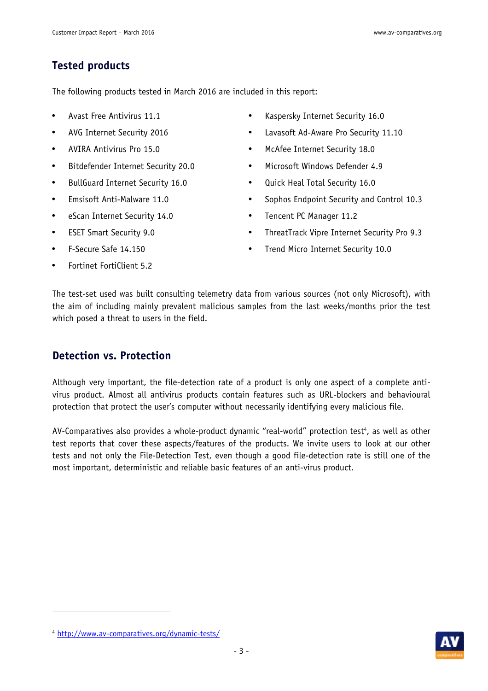### **Tested products**

The following products tested in March 2016 are included in this report:

- Avast Free Antivirus 11.1
- AVG Internet Security 2016
- AVIRA Antivirus Pro 15.0
- Bitdefender Internet Security 20.0
- BullGuard Internet Security 16.0
- Emsisoft Anti-Malware 11.0
- eScan Internet Security 14.0
- ESET Smart Security 9.0
- F-Secure Safe 14.150
- Fortinet FortiClient 5.2
- Kaspersky Internet Security 16.0
- Lavasoft Ad-Aware Pro Security 11.10
- McAfee Internet Security 18.0
- Microsoft Windows Defender 4.9
- Quick Heal Total Security 16.0
- Sophos Endpoint Security and Control 10.3
- Tencent PC Manager 11.2
- ThreatTrack Vipre Internet Security Pro 9.3
- Trend Micro Internet Security 10.0

The test-set used was built consulting telemetry data from various sources (not only Microsoft), with the aim of including mainly prevalent malicious samples from the last weeks/months prior the test which posed a threat to users in the field.

### **Detection vs. Protection**

Although very important, the file-detection rate of a product is only one aspect of a complete antivirus product. Almost all antivirus products contain features such as URL-blockers and behavioural protection that protect the user's computer without necessarily identifying every malicious file.

AV-Comparatives also provides a whole-product dynamic "real-world" protection test<sup>4</sup>, as well as other test reports that cover these aspects/features of the products. We invite users to look at our other tests and not only the File-Detection Test, even though a good file-detection rate is still one of the most important, deterministic and reliable basic features of an anti-virus product.

l.



<sup>4</sup> http://www.av-comparatives.org/dynamic-tests/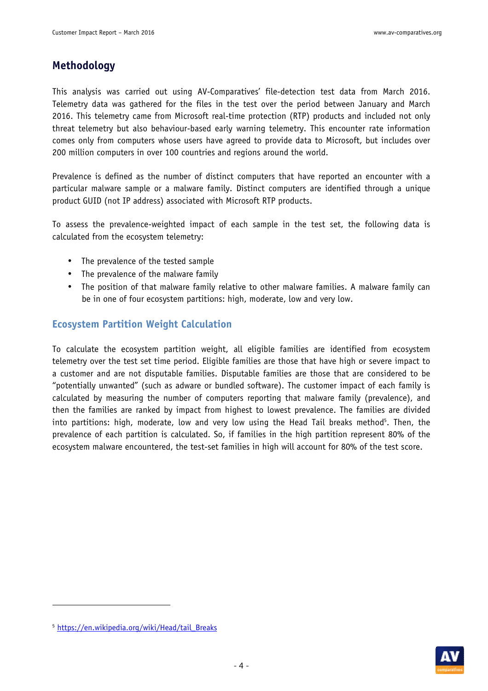### **Methodology**

This analysis was carried out using AV-Comparatives' file-detection test data from March 2016. Telemetry data was gathered for the files in the test over the period between January and March 2016. This telemetry came from Microsoft real-time protection (RTP) products and included not only threat telemetry but also behaviour-based early warning telemetry. This encounter rate information comes only from computers whose users have agreed to provide data to Microsoft, but includes over 200 million computers in over 100 countries and regions around the world.

Prevalence is defined as the number of distinct computers that have reported an encounter with a particular malware sample or a malware family. Distinct computers are identified through a unique product GUID (not IP address) associated with Microsoft RTP products.

To assess the prevalence-weighted impact of each sample in the test set, the following data is calculated from the ecosystem telemetry:

- The prevalence of the tested sample
- The prevalence of the malware family
- The position of that malware family relative to other malware families. A malware family can be in one of four ecosystem partitions: high, moderate, low and very low.

### **Ecosystem Partition Weight Calculation**

To calculate the ecosystem partition weight, all eligible families are identified from ecosystem telemetry over the test set time period. Eligible families are those that have high or severe impact to a customer and are not disputable families. Disputable families are those that are considered to be "potentially unwanted" (such as adware or bundled software). The customer impact of each family is calculated by measuring the number of computers reporting that malware family (prevalence), and then the families are ranked by impact from highest to lowest prevalence. The families are divided into partitions: high, moderate, low and very low using the Head Tail breaks method<sup>5</sup>. Then, the prevalence of each partition is calculated. So, if families in the high partition represent 80% of the ecosystem malware encountered, the test-set families in high will account for 80% of the test score.

l.



<sup>&</sup>lt;sup>5</sup> https://en.wikipedia.org/wiki/Head/tail\_Breaks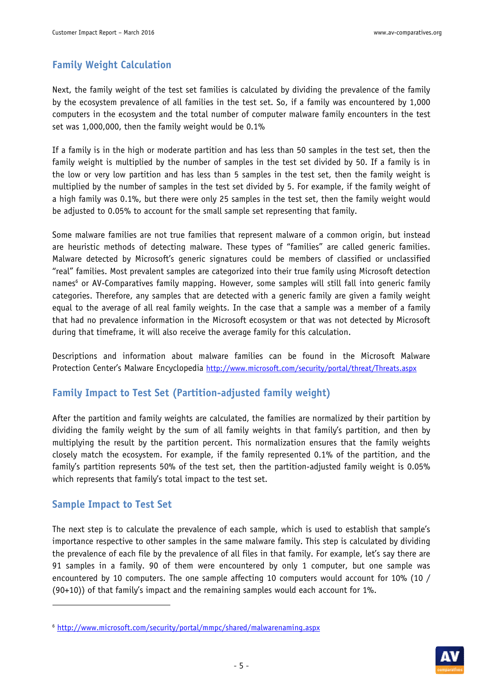### **Family Weight Calculation**

Next, the family weight of the test set families is calculated by dividing the prevalence of the family by the ecosystem prevalence of all families in the test set. So, if a family was encountered by 1,000 computers in the ecosystem and the total number of computer malware family encounters in the test set was 1,000,000, then the family weight would be 0.1%

If a family is in the high or moderate partition and has less than 50 samples in the test set, then the family weight is multiplied by the number of samples in the test set divided by 50. If a family is in the low or very low partition and has less than 5 samples in the test set, then the family weight is multiplied by the number of samples in the test set divided by 5. For example, if the family weight of a high family was 0.1%, but there were only 25 samples in the test set, then the family weight would be adjusted to 0.05% to account for the small sample set representing that family.

Some malware families are not true families that represent malware of a common origin, but instead are heuristic methods of detecting malware. These types of "families" are called generic families. Malware detected by Microsoft's generic signatures could be members of classified or unclassified "real" families. Most prevalent samples are categorized into their true family using Microsoft detection names<sup>6</sup> or AV-Comparatives family mapping. However, some samples will still fall into generic family categories. Therefore, any samples that are detected with a generic family are given a family weight equal to the average of all real family weights. In the case that a sample was a member of a family that had no prevalence information in the Microsoft ecosystem or that was not detected by Microsoft during that timeframe, it will also receive the average family for this calculation.

Descriptions and information about malware families can be found in the Microsoft Malware Protection Center's Malware Encyclopedia http://www.microsoft.com/security/portal/threat/Threats.aspx

#### **Family Impact to Test Set (Partition-adjusted family weight)**

After the partition and family weights are calculated, the families are normalized by their partition by dividing the family weight by the sum of all family weights in that family's partition, and then by multiplying the result by the partition percent. This normalization ensures that the family weights closely match the ecosystem. For example, if the family represented 0.1% of the partition, and the family's partition represents 50% of the test set, then the partition-adjusted family weight is 0.05% which represents that family's total impact to the test set.

#### **Sample Impact to Test Set**

l.

The next step is to calculate the prevalence of each sample, which is used to establish that sample's importance respective to other samples in the same malware family. This step is calculated by dividing the prevalence of each file by the prevalence of all files in that family. For example, let's say there are 91 samples in a family. 90 of them were encountered by only 1 computer, but one sample was encountered by 10 computers. The one sample affecting 10 computers would account for 10% (10 / (90+10)) of that family's impact and the remaining samples would each account for 1%.



<sup>6</sup> http://www.microsoft.com/security/portal/mmpc/shared/malwarenaming.aspx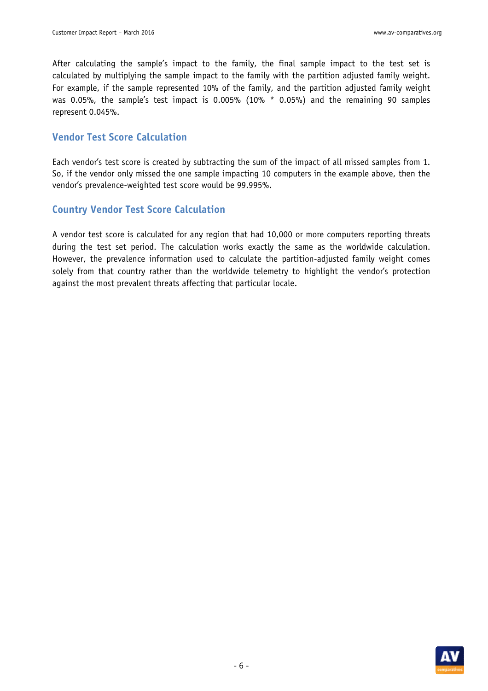After calculating the sample's impact to the family, the final sample impact to the test set is calculated by multiplying the sample impact to the family with the partition adjusted family weight. For example, if the sample represented 10% of the family, and the partition adjusted family weight was 0.05%, the sample's test impact is 0.005% (10% \* 0.05%) and the remaining 90 samples represent 0.045%.

#### **Vendor Test Score Calculation**

Each vendor's test score is created by subtracting the sum of the impact of all missed samples from 1. So, if the vendor only missed the one sample impacting 10 computers in the example above, then the vendor's prevalence-weighted test score would be 99.995%.

#### **Country Vendor Test Score Calculation**

A vendor test score is calculated for any region that had 10,000 or more computers reporting threats during the test set period. The calculation works exactly the same as the worldwide calculation. However, the prevalence information used to calculate the partition-adjusted family weight comes solely from that country rather than the worldwide telemetry to highlight the vendor's protection against the most prevalent threats affecting that particular locale.

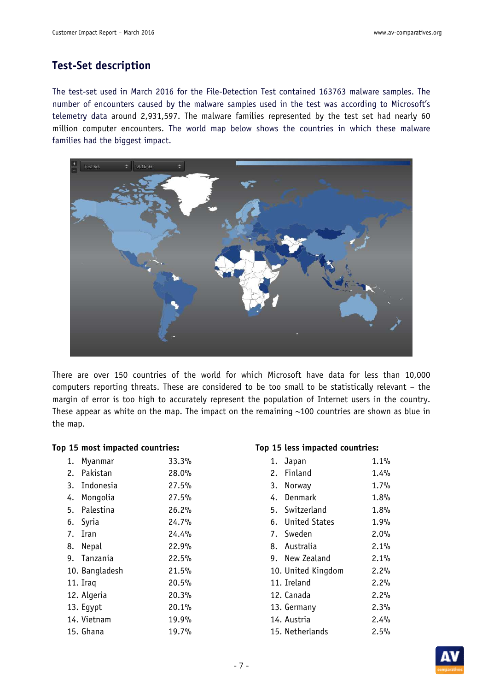### **Test-Set description**

The test-set used in March 2016 for the File-Detection Test contained 163763 malware samples. The number of encounters caused by the malware samples used in the test was according to Microsoft's telemetry data around 2,931,597. The malware families represented by the test set had nearly 60 million computer encounters. The world map below shows the countries in which these malware families had the biggest impact.



There are over 150 countries of the world for which Microsoft have data for less than 10,000 computers reporting threats. These are considered to be too small to be statistically relevant – the margin of error is too high to accurately represent the population of Internet users in the country. These appear as white on the map. The impact on the remaining  $\sim$ 100 countries are shown as blue in the map.

#### **Top 15 most impacted countries: Top 15 less impacted countries:**

| 1. | Myanmar        | 33.3% |
|----|----------------|-------|
| 2. | Pakistan       | 28.0% |
| 3. | Indonesia      | 27.5% |
| 4. | Mongolia       | 27.5% |
| 5. | Palestina      | 26.2% |
|    | 6. Syria       | 24.7% |
| 7. | Iran           | 24.4% |
|    | 8. Nepal       | 22.9% |
| 9. | Tanzania       | 22.5% |
|    | 10. Bangladesh | 21.5% |
|    | 11. Iraq       | 20.5% |
|    | 12. Algeria    | 20.3% |
|    | 13. Eqypt      | 20.1% |
|    | 14. Vietnam    | 19.9% |
|    | 15. Ghana      | 19.7% |
|    |                |       |

| 1. | Japan              | 1.1% |
|----|--------------------|------|
| 2. | Finland            | 1.4% |
|    | 3. Norway          | 1.7% |
|    | 4. Denmark         | 1.8% |
| 5. | Switzerland        | 1.8% |
|    | 6. United States   | 1.9% |
|    | 7. Sweden          | 2.0% |
|    | 8. Australia       | 2.1% |
|    | 9. New Zealand     | 2.1% |
|    | 10. United Kingdom | 2.2% |
|    | 11. Ireland        | 2.2% |
|    | 12. Canada         | 2.2% |
|    | 13. Germany        | 2.3% |
|    | 14. Austria        | 2.4% |
|    | 15. Netherlands    | 2.5% |

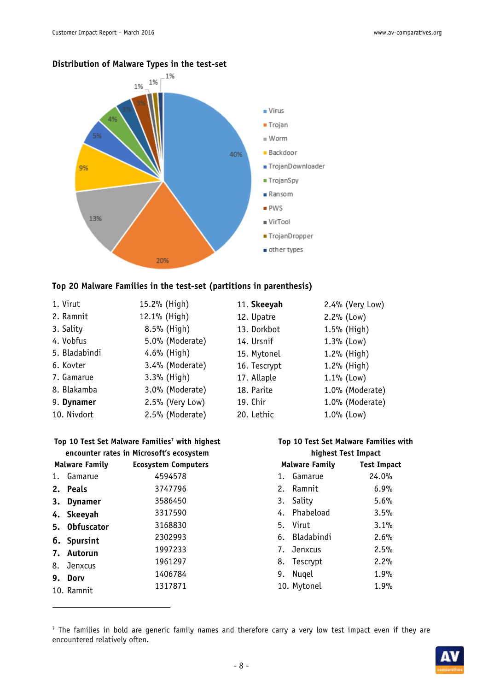

#### **Distribution of Malware Types in the test-set**

#### **Top 20 Malware Families in the test-set (partitions in parenthesis)**

| 1. Virut      | 15.2% (High)    | 11. Skeeyah  | 2.4% (Very Low) |
|---------------|-----------------|--------------|-----------------|
| 2. Ramnit     | 12.1% (High)    | 12. Upatre   | $2.2%$ (Low)    |
| 3. Sality     | 8.5% (High)     | 13. Dorkbot  | 1.5% (High)     |
| 4. Vobfus     | 5.0% (Moderate) | 14. Ursnif   | $1.3\%$ (Low)   |
| 5. Bladabindi | 4.6% (High)     | 15. Mytonel  | 1.2% (High)     |
| 6. Kovter     | 3.4% (Moderate) | 16. Tescrypt | 1.2% (High)     |
| 7. Gamarue    | 3.3% (High)     | 17. Allaple  | $1.1\%$ (Low)   |
| 8. Blakamba   | 3.0% (Moderate) | 18. Parite   | 1.0% (Moderate) |
| 9. Dynamer    | 2.5% (Very Low) | 19. Chir     | 1.0% (Moderate) |
| 10. Nivdort   | 2.5% (Moderate) | 20. Lethic   | 1.0% (Low)      |

#### **Top 10 Test Set Malware Families<sup>7</sup> with highest encounter rates in Microsoft's ecosystem Malware Family Ecosystem Computers**

| 1. Gamarue    | 4594578 |
|---------------|---------|
| 2. Peals      | 3747796 |
| 3. Dynamer    | 3586450 |
| 4. Skeeyah    | 3317590 |
| 5. Obfuscator | 3168830 |
| 6. Spursint   | 2302993 |
| 7. Autorun    | 1997233 |
| 8. Jenxcus    | 1961297 |
| 9. Dorv       | 1406784 |
| 10. Ramnit    | 1317871 |

 $\overline{a}$ 

### **Top 10 Test Set Malware Families with**

| highest Test Impact |                |                    |  |  |  |
|---------------------|----------------|--------------------|--|--|--|
|                     | Malware Family | <b>Test Impact</b> |  |  |  |
| 1.                  | Gamarue        | 24.0%              |  |  |  |
|                     | 2. Ramnit      | 6.9%               |  |  |  |
|                     | 3. Sality      | 5.6%               |  |  |  |
|                     | 4. Phabeload   | 3.5%               |  |  |  |
|                     | 5. Virut       | 3.1%               |  |  |  |
|                     | 6. Bladabindi  | 2.6%               |  |  |  |
|                     | 7. Jenxcus     | 2.5%               |  |  |  |
|                     | 8. Tescrypt    | 2.2%               |  |  |  |
| 9.                  | Nugel          | 1.9%               |  |  |  |
|                     | 10. Mytonel    | 1.9%               |  |  |  |

<sup>7</sup> The families in bold are generic family names and therefore carry a very low test impact even if they are encountered relatively often.

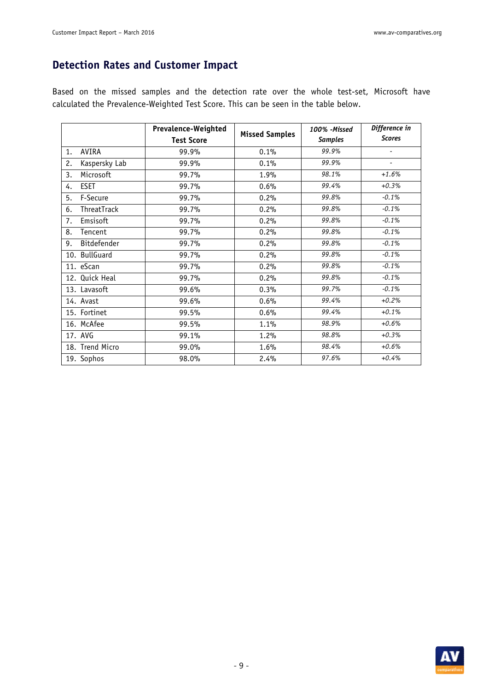### **Detection Rates and Customer Impact**

Based on the missed samples and the detection rate over the whole test-set, Microsoft have calculated the Prevalence-Weighted Test Score. This can be seen in the table below.

|                     | Prevalence-Weighted |                       | 100% - Missed  | Difference in |  |
|---------------------|---------------------|-----------------------|----------------|---------------|--|
|                     | <b>Test Score</b>   | <b>Missed Samples</b> | <b>Samples</b> | <b>Scores</b> |  |
| AVIRA<br>1.         | 99.9%               | 0.1%                  | 99.9%          |               |  |
| Kaspersky Lab<br>2. | 99.9%               | 0.1%                  | 99.9%          | ٠             |  |
| Microsoft<br>3.     | 99.7%               | 1.9%                  | 98.1%          | $+1.6%$       |  |
| <b>ESET</b><br>4.   | 99.7%               | 0.6%                  | 99.4%          | $+0.3%$       |  |
| F-Secure<br>5.      | 99.7%               | 0.2%                  | 99.8%          | $-0.1%$       |  |
| ThreatTrack<br>6.   | 99.7%               | 0.2%                  | 99.8%          | $-0.1%$       |  |
| Emsisoft<br>7.      | 99.7%               | 0.2%                  | 99.8%          | $-0.1%$       |  |
| 8.<br>Tencent       | 99.7%               | 0.2%                  | 99.8%          | $-0.1%$       |  |
| Bitdefender<br>9.   | 99.7%               | 0.2%                  | 99.8%          | $-0.1%$       |  |
| 10. BullGuard       | 99.7%               | 0.2%                  | 99.8%          | $-0.1%$       |  |
| 11. eScan           | 99.7%               | 0.2%                  | 99.8%          | $-0.1%$       |  |
| 12. Quick Heal      | 99.7%               | 0.2%                  | 99.8%          | $-0.1%$       |  |
| 13. Lavasoft        | 99.6%               | 0.3%                  | 99.7%          | $-0.1%$       |  |
| 14. Avast           | 99.6%               | 0.6%                  | 99.4%          | $+0.2%$       |  |
| 15. Fortinet        | 99.5%               | 0.6%                  | 99.4%          | $+0.1%$       |  |
| 16. McAfee          | 99.5%               | 1.1%                  | 98.9%          | $+0.6%$       |  |
| 17. AVG             | 99.1%               | 1.2%                  | 98.8%          | $+0.3%$       |  |
| 18. Trend Micro     | 99.0%               | 1.6%                  | 98.4%          | $+0.6%$       |  |
| 19. Sophos          | 98.0%               | 2.4%                  | 97.6%          | $+0.4%$       |  |

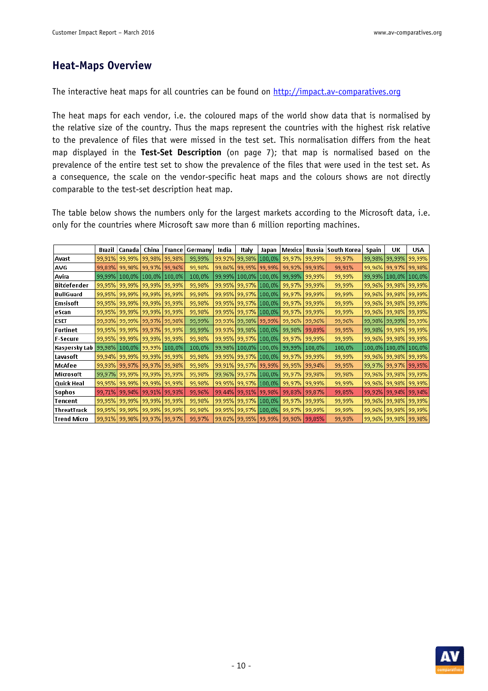### **Heat-Maps Overview**

The interactive heat maps for all countries can be found on http://impact.av-comparatives.org

The heat maps for each vendor, i.e. the coloured maps of the world show data that is normalised by the relative size of the country. Thus the maps represent the countries with the highest risk relative to the prevalence of files that were missed in the test set. This normalisation differs from the heat map displayed in the **Test-Set Description** (on page 7); that map is normalised based on the prevalence of the entire test set to show the prevalence of the files that were used in the test set. As a consequence, the scale on the vendor-specific heat maps and the colours shows are not directly comparable to the test-set description heat map.

The table below shows the numbers only for the largest markets according to the Microsoft data, i.e. only for the countries where Microsoft saw more than 6 million reporting machines.

|                    | Brazil | Canada                            | China                    | France        | Germany | India  | Italy                    | Japan         | Mexico | Russia  | South Korea | Spain  | UΚ                       | USA    |
|--------------------|--------|-----------------------------------|--------------------------|---------------|---------|--------|--------------------------|---------------|--------|---------|-------------|--------|--------------------------|--------|
| Avast              | 99,91% | 99,99%                            |                          | 99,98% 99,98% | 99,99%  | 99,92% | 99,98%                   | 100,0%        | 99,97% | 99,99%  | 99,97%      | 99,98% | 99,99%                   | 99,99% |
| AVG                | 99,83% | 99,98%                            | 99,97% 99,96%            |               | 99,98%  | 99,86% | 99,95%  99,99%           |               | 99,92% | 99,93%  | 99,91%      |        | 99,96% 99,97% 99,98%     |        |
| Avira              | 99,99% | 100,0%                            | 100,0% 100,0%            |               | 100,0%  | 99,99% | $100,0\%$                | $ 100,0\% $   | 99,99% | 99,99%  | 99,99%      |        | 99,99% [100,0%]          | 100,0% |
| <b>Bitdefender</b> | 99,95% | 99,99%                            | 99,99% 99,99%            |               | 99,98%  | 99,95% | 99,97% 100,0%            |               | 99,97% | 99,99%  | 99,99%      |        | 99,96% 99,98% 99,99%     |        |
| <b>BullGuard</b>   | 99,95% | 99,99%                            | 99,99% 99,99%            |               | 99,98%  | 99,95% |                          | 99,97% 100,0% | 99,97% | 99,99%  | 99,99%      |        | 99,96%   99,98%          | 99,99% |
| Emsisoft           | 99,95% | 99,99%                            | 99,99%                   | 99,99%        | 99,98%  | 99,95% | 199,97%                  | 100,0%        | 99,97% | 99,99%  | 99,99%      | 99,96% | 99,98%                   | 99,99% |
| eScan              | 99,95% | 99,99%                            | 99,99% 99,99%            |               | 99,98%  | 99,95% | 99,97% 100,0%            |               | 99,97% | 99,99%  | 99,99%      |        | 99,96%   99,98%   99,99% |        |
| <b>ESET</b>        | 99,93% | 99,99%                            | 99,97% 99,98%            |               | 99,99%  |        | 99,93%   99,98%   99,99% |               | 99,96% | 99,96%  | 99,96%      |        | 99,98%   99,99%          | 99,99% |
| Fortinet           | 99,95% | 99,99%                            | 99,97% 99,99%            |               | 99,99%  |        | 99,93% [99,98%]          | 100,0%        | 99,98% | 99,89%  | 99,95%      |        | 99,98% 99,98% 99,99%     |        |
| <b>F-Secure</b>    | 99,95% |                                   | 99,99%   99,99%   99,99% |               | 99,98%  |        | 99,95% 99,97% 100,0%     |               | 99,97% | 99,99%  | 99,99%      |        | 99,96% 99,98% 99,99%     |        |
| Kaspersky Lab      | 99,98% | 100,0%                            | 99,99% 100,0%            |               | 100,0%  | 99,98% | $100,0\%$                | $ 100,0\% $   | 99,99% | 100,0%  | 100,0%      |        | 100,0%   100,0%          | 100,0% |
| Lavasoft           | 99,94% | 99,99%                            | 99,99% 99,99%            |               | 99,98%  | 99,95% | 99,97% 100,0%            |               | 99,97% | 99,99%  | 99,99%      |        | 99,96%   99,98%   99,99% |        |
| McAfee             | 99,93% | 99,97%                            | 99,97% 99,98%            |               | 99,98%  | 99,91% | 99,97% 99,99%            |               | 99,95% | 99,94%  | 99,95%      | 99,97% | 99,97%                   | 99,95% |
| Microsoft          | 99,97% | 99,99%                            | 99,99% 99,99%            |               | 99,98%  |        | 99,96%   99,97%   100,0% |               | 99,97% | 99,98%  | 99,98%      |        | 99,96%   99,98%   99,99% |        |
| Quick Heal         | 99,95% | 99,99%                            | 99,99% 99,99%            |               | 99,98%  | 99,95% | 99,97% 100,0%            |               | 99,97% | 99,99%  | 99,99%      |        | 99,96%   99,98%   99,99% |        |
| <b>Sophos</b>      | 99,71% | 99,94%                            | 99,91% 99,93%            |               | 99,96%  | 99,44% | 99,91%                   | 99,98%        | 99,83% | 99,87%  | 99,85%      | 99,92% | 99,94%                   | 99,94% |
| Tencent            | 99,95% | 99,99%                            | 99,99% 99,99%            |               | 99,98%  | 99,95% | 99,97% 100,0%            |               | 99,97% | 99,99%  | 99,99%      | 99,96% | 99,98% 99,99%            |        |
| <b>ThreatTrack</b> | 99,95% | 99,99%                            | 99,99% 99,99%            |               | 99,98%  | 99,95% |                          | 99,97% 100,0% | 99,97% | 99,99%  | 99,99%      |        | 99,96%   99,98%          | 99,99% |
| Trend Micro        |        | 99,91%   99,98%   99,97%   99,97% |                          |               | 99,97%  |        | 99,82%   99,95%   99,99% |               | 99,90% | 199,85% | 99,93%      |        | 99,96%   99,98%   99,98% |        |

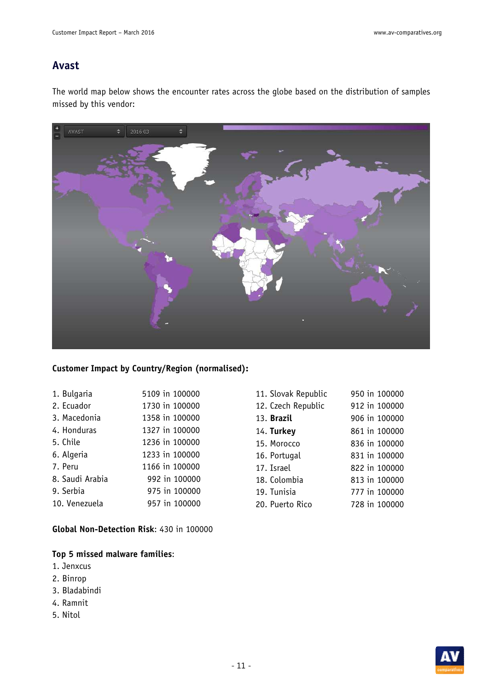### **Avast**

The world map below shows the encounter rates across the globe based on the distribution of samples missed by this vendor:



#### **Customer Impact by Country/Region (normalised):**

| 1. Bulgaria     | 5109 in 100000 |
|-----------------|----------------|
| 2. Ecuador      | 1730 in 100000 |
| 3. Macedonia    | 1358 in 100000 |
| 4. Honduras     | 1327 in 100000 |
| 5. Chile        | 1236 in 100000 |
| 6. Algeria      | 1233 in 100000 |
| 7. Peru         | 1166 in 100000 |
| 8. Saudi Arabia | 992 in 100000  |
| 9. Serbia       | 975 in 100000  |
| 10. Venezuela   | 957 in 100000  |

**Global Non-Detection Risk**: 430 in 100000

- 1. Jenxcus
- 2. Binrop
- 3. Bladabindi
- 4. Ramnit
- 5. Nitol

| 11. Slovak Republic | 950 in 100000 |
|---------------------|---------------|
| 12. Czech Republic  | 912 in 100000 |
| 13. <b>Brazil</b>   | 906 in 100000 |
| 14. Turkey          | 861 in 100000 |
| 15. Morocco         | 836 in 100000 |
| 16. Portugal        | 831 in 100000 |
| 17. Israel          | 822 in 100000 |
| 18. Colombia        | 813 in 100000 |
| 19. Tunisia         | 777 in 100000 |
| 20. Puerto Rico     | 728 in 100000 |
|                     |               |

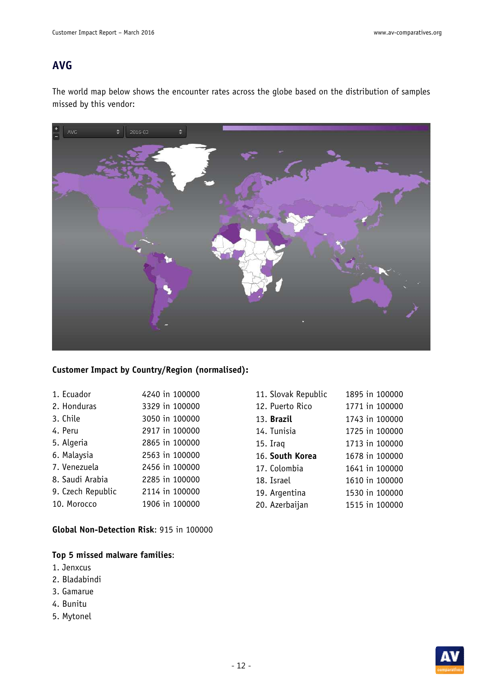### **AVG**

The world map below shows the encounter rates across the globe based on the distribution of samples missed by this vendor:



#### **Customer Impact by Country/Region (normalised):**

| 1. Ecuador        | 4240 in 100000 |
|-------------------|----------------|
| 2. Honduras       | 3329 in 100000 |
| 3. Chile          | 3050 in 100000 |
| 4. Peru           | 2917 in 100000 |
| 5. Algeria        | 2865 in 100000 |
| 6. Malaysia       | 2563 in 100000 |
| 7. Venezuela      | 2456 in 100000 |
| 8. Saudi Arabia   | 2285 in 100000 |
| 9. Czech Republic | 2114 in 100000 |
| 10. Morocco       | 1906 in 100000 |

**Global Non-Detection Risk**: 915 in 100000

- 1. Jenxcus
- 2. Bladabindi
- 3. Gamarue
- 4. Bunitu
- 5. Mytonel

| 11. Slovak Republic | 1895 in 100000 |
|---------------------|----------------|
| 12. Puerto Rico     | 1771 in 100000 |
| 13. Brazil          | 1743 in 100000 |
| 14. Tunisia         | 1725 in 100000 |
| 15. Iraq            | 1713 in 100000 |
|                     |                |
| 16. South Korea     | 1678 in 100000 |
| 17. Colombia        | 1641 in 100000 |
| 18. Israel          | 1610 in 100000 |
| 19. Argentina       | 1530 in 100000 |
| 20. Azerbaijan      | 1515 in 100000 |

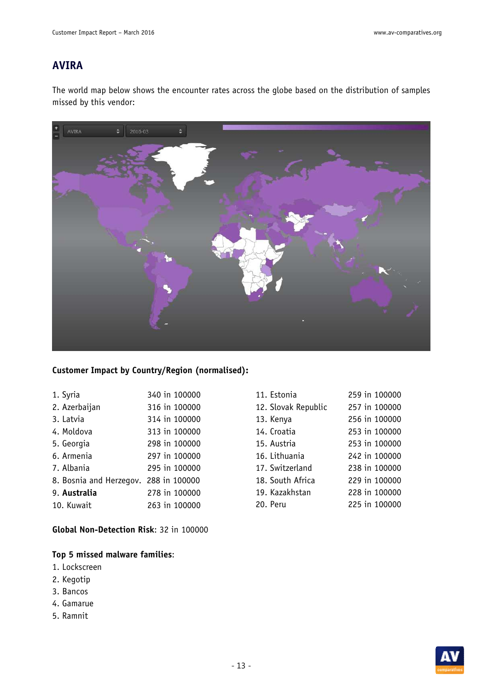### **AVIRA**

The world map below shows the encounter rates across the globe based on the distribution of samples missed by this vendor:



#### **Customer Impact by Country/Region (normalised):**

| 1. Syria                | 340 in 100000 |
|-------------------------|---------------|
| 2. Azerbaijan           | 316 in 100000 |
| 3. Latvia               | 314 in 100000 |
| 4. Moldova              | 313 in 100000 |
| 5. Georgia              | 298 in 100000 |
| 6. Armenia              | 297 in 100000 |
| 7. Albania              | 295 in 100000 |
| 8. Bosnia and Herzegov. | 288 in 100000 |
| 9. Australia            | 278 in 100000 |
| 10. Kuwait              | 263 in 100000 |

**Global Non-Detection Risk**: 32 in 100000

- 1. Lockscreen
- 2. Kegotip
- 3. Bancos
- 4. Gamarue
- 5. Ramnit

| 11. Estonia         | 259 in 100000 |
|---------------------|---------------|
| 12. Slovak Republic | 257 in 100000 |
| 13. Kenya           | 256 in 100000 |
| 14. Croatia         | 253 in 100000 |
| 15. Austria         | 253 in 100000 |
| 16. Lithuania       | 242 in 100000 |
| 17. Switzerland     | 238 in 100000 |
| 18. South Africa    | 229 in 100000 |
| 19. Kazakhstan      | 228 in 100000 |
| 20. Peru            | 225 in 100000 |
|                     |               |

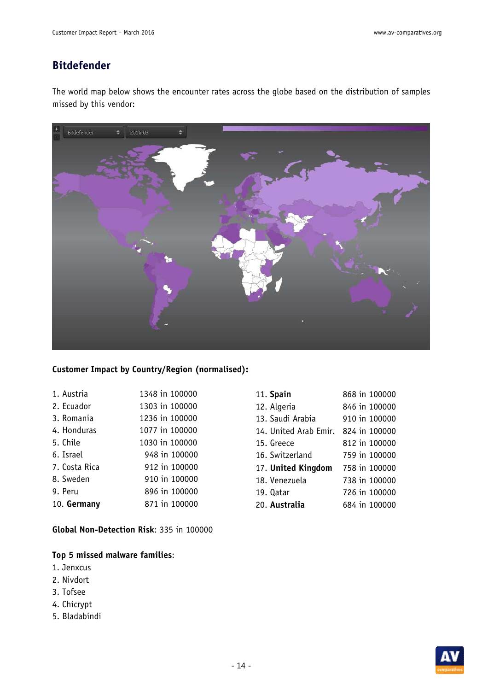### **Bitdefender**

The world map below shows the encounter rates across the globe based on the distribution of samples missed by this vendor:



#### **Customer Impact by Country/Region (normalised):**

| 1. Austria    | 1348 in 100000 |
|---------------|----------------|
| 2. Ecuador    | 1303 in 100000 |
| 3. Romania    | 1236 in 100000 |
| 4. Honduras   | 1077 in 100000 |
| 5. Chile      | 1030 in 100000 |
| 6. Israel     | 948 in 100000  |
| 7. Costa Rica | 912 in 100000  |
| 8. Sweden     | 910 in 100000  |
| 9. Peru       | 896 in 100000  |
| 10. Germany   | 871 in 100000  |

**Global Non-Detection Risk**: 335 in 100000

- 1. Jenxcus
- 2. Nivdort
- 3. Tofsee
- 4. Chicrypt
- 5. Bladabindi

|           | 11. Spain             | 868 in 100000 |
|-----------|-----------------------|---------------|
|           | 12. Algeria           | 846 in 100000 |
|           | 13. Saudi Arabia      | 910 in 100000 |
|           | 14. United Arab Emir. | 824 in 100000 |
|           | 15. Greece            | 812 in 100000 |
|           | 16. Switzerland       | 759 in 100000 |
|           | 17. United Kingdom    | 758 in 100000 |
|           | 18. Venezuela         | 738 in 100000 |
| 19. Oatar |                       | 726 in 100000 |
|           | 20. Australia         | 684 in 100000 |

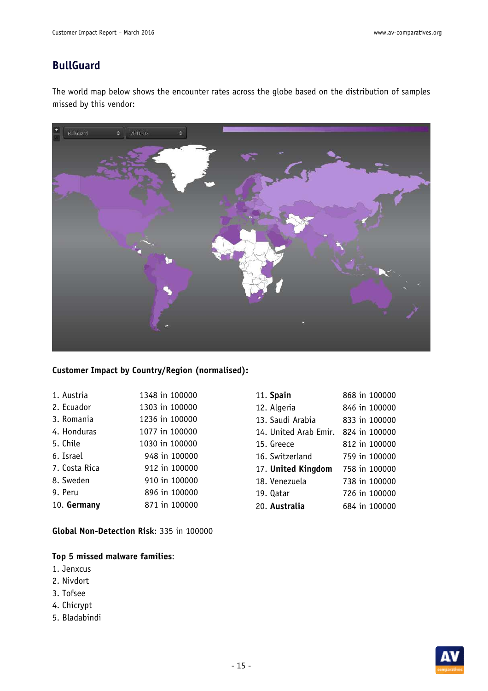### **BullGuard**

The world map below shows the encounter rates across the globe based on the distribution of samples missed by this vendor:



#### **Customer Impact by Country/Region (normalised):**

| 1. Austria    | 1348 in 100000 |
|---------------|----------------|
| 2. Ecuador    | 1303 in 100000 |
| 3. Romania    | 1236 in 100000 |
| 4. Honduras   | 1077 in 100000 |
| 5. Chile      | 1030 in 100000 |
| 6. Israel     | 948 in 100000  |
| 7. Costa Rica | 912 in 100000  |
| 8. Sweden     | 910 in 100000  |
| 9. Peru       | 896 in 100000  |
| 10. Germany   | 871 in 100000  |
|               |                |

**Global Non-Detection Risk**: 335 in 100000

- 1. Jenxcus
- 2. Nivdort
- 3. Tofsee
- 4. Chicrypt
- 5. Bladabindi

| 11. Spain             | 868 in 100000 |
|-----------------------|---------------|
| 12. Algeria           | 846 in 100000 |
| 13. Saudi Arabia      | 833 in 100000 |
| 14. United Arab Emir. | 824 in 100000 |
| 15. Greece            | 812 in 100000 |
| 16. Switzerland       | 759 in 100000 |
| 17. United Kingdom    | 758 in 100000 |
| 18. Venezuela         | 738 in 100000 |
| 19. Oatar             | 726 in 100000 |
| 20. Australia         | 684 in 100000 |

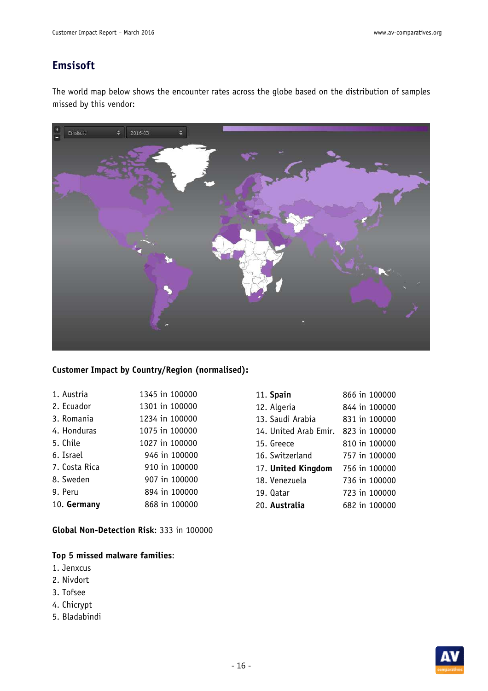### **Emsisoft**

The world map below shows the encounter rates across the globe based on the distribution of samples missed by this vendor:



#### **Customer Impact by Country/Region (normalised):**

| 1. Austria    | 1345 in 100000 |
|---------------|----------------|
| 2. Ecuador    | 1301 in 100000 |
| 3. Romania    | 1234 in 100000 |
| 4. Honduras   | 1075 in 100000 |
| 5. Chile      | 1027 in 100000 |
| 6. Israel     | 946 in 100000  |
| 7. Costa Rica | 910 in 100000  |
| 8. Sweden     | 907 in 100000  |
| 9. Peru       | 894 in 100000  |
| 10. Germany   | 868 in 100000  |

**Global Non-Detection Risk**: 333 in 100000

- 1. Jenxcus
- 2. Nivdort
- 3. Tofsee
- 4. Chicrypt
- 5. Bladabindi

| 11. Spain             | 866 in 100000 |
|-----------------------|---------------|
| 12. Algeria           | 844 in 100000 |
| 13. Saudi Arabia      | 831 in 100000 |
| 14. United Arab Emir. | 823 in 100000 |
| 15. Greece            | 810 in 100000 |
| 16. Switzerland       | 757 in 100000 |
| 17. United Kingdom    | 756 in 100000 |
| 18. Venezuela         | 736 in 100000 |
| 19. Oatar             | 723 in 100000 |
| 20. Australia         | 682 in 100000 |

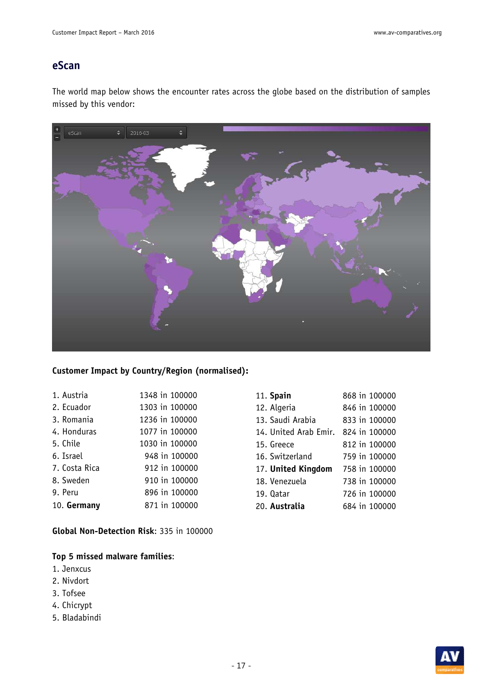### **eScan**

The world map below shows the encounter rates across the globe based on the distribution of samples missed by this vendor:



#### **Customer Impact by Country/Region (normalised):**

| 1. Austria    | 1348 in 100000 |
|---------------|----------------|
| 2. Ecuador    | 1303 in 100000 |
| 3. Romania    | 1236 in 100000 |
| 4. Honduras   | 1077 in 100000 |
| 5. Chile      | 1030 in 100000 |
| 6. Israel     | 948 in 100000  |
| 7. Costa Rica | 912 in 100000  |
| 8. Sweden     | 910 in 100000  |
| 9. Peru       | 896 in 100000  |
| 10. Germany   | 871 in 100000  |

**Global Non-Detection Risk**: 335 in 100000

- 1. Jenxcus
- 2. Nivdort
- 3. Tofsee
- 4. Chicrypt
- 5. Bladabindi

| 11. Spain             | 868 in 100000 |
|-----------------------|---------------|
| 12. Algeria           | 846 in 100000 |
| 13. Saudi Arabia      | 833 in 100000 |
| 14. United Arab Emir. | 824 in 100000 |
| 15. Greece            | 812 in 100000 |
| 16. Switzerland       | 759 in 100000 |
| 17. United Kingdom    | 758 in 100000 |
| 18. Venezuela         | 738 in 100000 |
| 19. Oatar             | 726 in 100000 |
| 20. Australia         | 684 in 100000 |

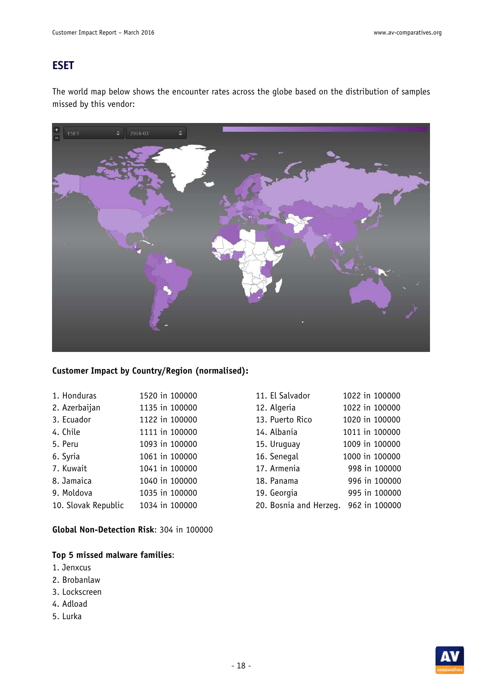### **ESET**

The world map below shows the encounter rates across the globe based on the distribution of samples missed by this vendor:



#### **Customer Impact by Country/Region (normalised):**

| 1. Honduras         | 1520 in 100000 |
|---------------------|----------------|
| 2. Azerbaijan       | 1135 in 100000 |
| 3. Ecuador          | 1122 in 100000 |
| 4. Chile            | 1111 in 100000 |
| 5. Peru             | 1093 in 100000 |
| 6. Syria            | 1061 in 100000 |
| 7. Kuwait           | 1041 in 100000 |
| 8. Jamaica          | 1040 in 100000 |
| 9. Moldova          | 1035 in 100000 |
| 10. Slovak Republic | 1034 in 100000 |

**Global Non-Detection Risk**: 304 in 100000

- 1. Jenxcus
- 2. Brobanlaw
- 3. Lockscreen
- 4. Adload
- 5. Lurka

| 11. El Salvador        | 1022 in 100000 |
|------------------------|----------------|
| 12. Algeria            | 1022 in 100000 |
| 13. Puerto Rico        | 1020 in 100000 |
| 14. Albania            | 1011 in 100000 |
| 15. Uruguay            | 1009 in 100000 |
| 16. Senegal            | 1000 in 100000 |
| 17. Armenia            | 998 in 100000  |
| 18. Panama             | 996 in 100000  |
| 19. Georgia            | 995 in 100000  |
| 20. Bosnia and Herzeq. | 962 in 100000  |

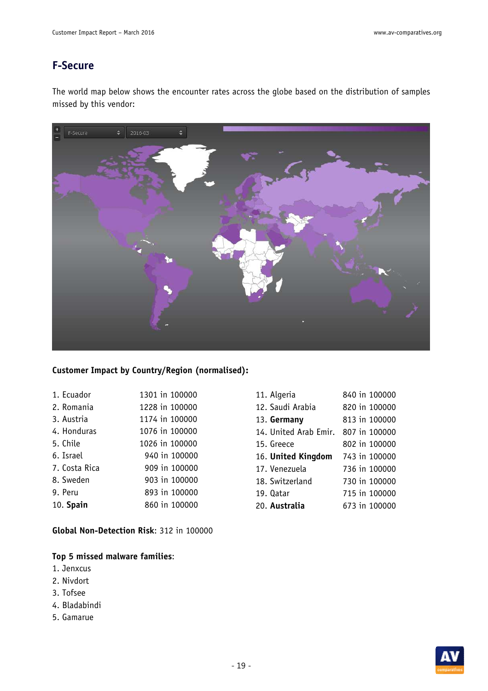### **F-Secure**

The world map below shows the encounter rates across the globe based on the distribution of samples missed by this vendor:



#### **Customer Impact by Country/Region (normalised):**

| 1. Ecuador    | 1301 in 100000 |
|---------------|----------------|
| 2. Romania    | 1228 in 100000 |
| 3. Austria    | 1174 in 100000 |
| 4. Honduras   | 1076 in 100000 |
| 5. Chile      | 1026 in 100000 |
| 6. Israel     | 940 in 100000  |
| 7. Costa Rica | 909 in 100000  |
| 8. Sweden     | 903 in 100000  |
| 9. Peru       | 893 in 100000  |
| 10. Spain     | 860 in 100000  |

**Global Non-Detection Risk**: 312 in 100000

- 1. Jenxcus
- 2. Nivdort
- 3. Tofsee
- 4. Bladabindi
- 5. Gamarue

| 11. Algeria           | 840 in 100000 |
|-----------------------|---------------|
| 12. Saudi Arabia      | 820 in 100000 |
| 13. Germany           | 813 in 100000 |
| 14. United Arab Emir. | 807 in 100000 |
| 15. Greece            | 802 in 100000 |
| 16. United Kingdom    | 743 in 100000 |
| 17. Venezuela         | 736 in 100000 |
| 18. Switzerland       | 730 in 100000 |
| 19. Qatar             | 715 in 100000 |
| 20. Australia         | 673 in 100000 |

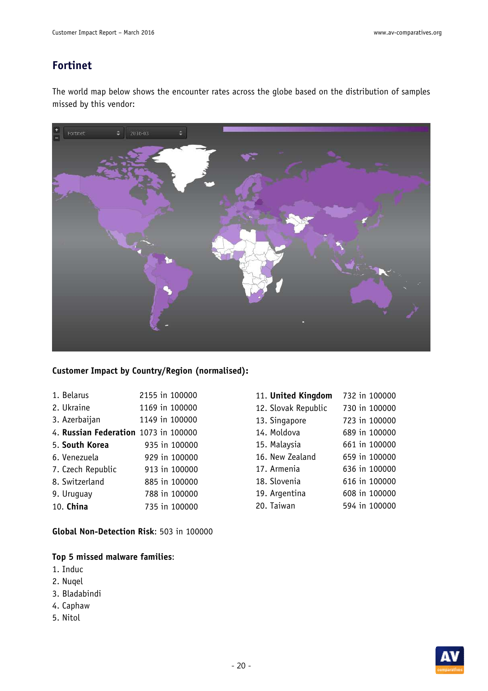### **Fortinet**

The world map below shows the encounter rates across the globe based on the distribution of samples missed by this vendor:



#### **Customer Impact by Country/Region (normalised):**

| 1. Belarus                           | 2155 in 100000 |
|--------------------------------------|----------------|
| 2. Ukraine                           | 1169 in 100000 |
| 3. Azerbaijan                        | 1149 in 100000 |
| 4. Russian Federation 1073 in 100000 |                |
| 5. South Korea                       | 935 in 100000  |
| 6. Venezuela                         | 929 in 100000  |
| 7. Czech Republic                    | 913 in 100000  |
| 8. Switzerland                       | 885 in 100000  |
| 9. Uruquay                           | 788 in 100000  |
| 10. China                            | 735 in 100000  |
|                                      |                |

**Global Non-Detection Risk**: 503 in 100000

- 1. Induc
- 2. Nuqel
- 3. Bladabindi
- 4. Caphaw
- 5. Nitol

| 11. United Kingdom  | 732 in 100000 |
|---------------------|---------------|
| 12. Slovak Republic | 730 in 100000 |
| 13. Singapore       | 723 in 100000 |
| 14. Moldova         | 689 in 100000 |
| 15. Malaysia        | 661 in 100000 |
| 16. New Zealand     | 659 in 100000 |
| 17. Armenia         | 636 in 100000 |
| 18. Slovenia        | 616 in 100000 |
| 19. Argentina       | 608 in 100000 |
| 20. Taiwan          | 594 in 100000 |

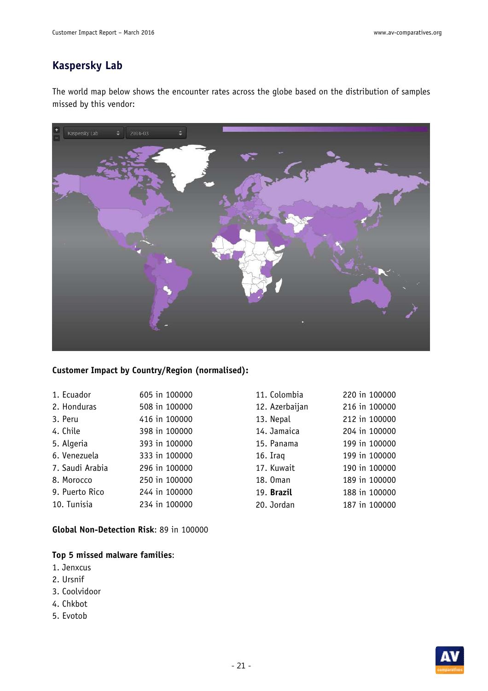### **Kaspersky Lab**

The world map below shows the encounter rates across the globe based on the distribution of samples missed by this vendor:



#### **Customer Impact by Country/Region (normalised):**

| 1. Ecuador      | 605 in 100000 |
|-----------------|---------------|
| 2. Honduras     | 508 in 100000 |
| 3. Peru         | 416 in 100000 |
| 4. Chile        | 398 in 100000 |
| 5. Algeria      | 393 in 100000 |
| 6. Venezuela    | 333 in 100000 |
| 7. Saudi Arabia | 296 in 100000 |
| 8. Morocco      | 250 in 100000 |
| 9. Puerto Rico  | 244 in 100000 |
| 10. Tunisia     | 234 in 100000 |

**Global Non-Detection Risk**: 89 in 100000

- 1. Jenxcus
- 2. Ursnif
- 3. Coolvidoor
- 4. Chkbot
- 5. Evotob

| 11. Colombia   | 220 in 100000 |
|----------------|---------------|
| 12. Azerbaijan | 216 in 100000 |
| 13. Nepal      | 212 in 100000 |
| 14. Jamaica    | 204 in 100000 |
| 15. Panama     | 199 in 100000 |
| 16. Iraq       | 199 in 100000 |
| 17. Kuwait     | 190 in 100000 |
| 18. Oman       | 189 in 100000 |
| 19. Brazil     | 188 in 100000 |
| 20. Jordan     | 187 in 100000 |

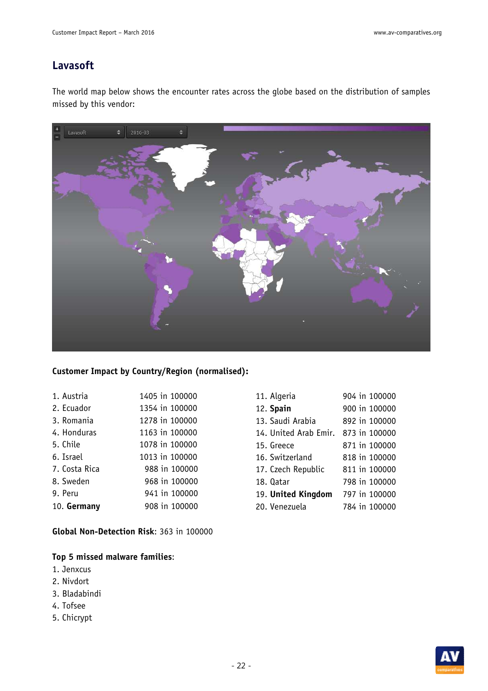### **Lavasoft**

The world map below shows the encounter rates across the globe based on the distribution of samples missed by this vendor:



#### **Customer Impact by Country/Region (normalised):**

| 1. Austria    | 1405 in 100000 |
|---------------|----------------|
| 2. Ecuador    | 1354 in 100000 |
| 3. Romania    | 1278 in 100000 |
| 4. Honduras   | 1163 in 100000 |
| 5. Chile      | 1078 in 100000 |
| 6. Israel     | 1013 in 100000 |
| 7. Costa Rica | 988 in 100000  |
| 8. Sweden     | 968 in 100000  |
| 9. Peru       | 941 in 100000  |
| 10. Germany   | 908 in 100000  |

**Global Non-Detection Risk**: 363 in 100000

- 1. Jenxcus
- 2. Nivdort
- 3. Bladabindi
- 4. Tofsee
- 5. Chicrypt

| 11. Algeria           | 904 in 100000 |
|-----------------------|---------------|
| 12. Spain             | 900 in 100000 |
| 13. Saudi Arabia      | 892 in 100000 |
| 14. United Arab Emir. | 873 in 100000 |
| 15. Greece            | 871 in 100000 |
| 16. Switzerland       | 818 in 100000 |
| 17. Czech Republic    | 811 in 100000 |
| 18. Oatar             | 798 in 100000 |
| 19. United Kingdom    | 797 in 100000 |
| 20. Venezuela         | 784 in 100000 |

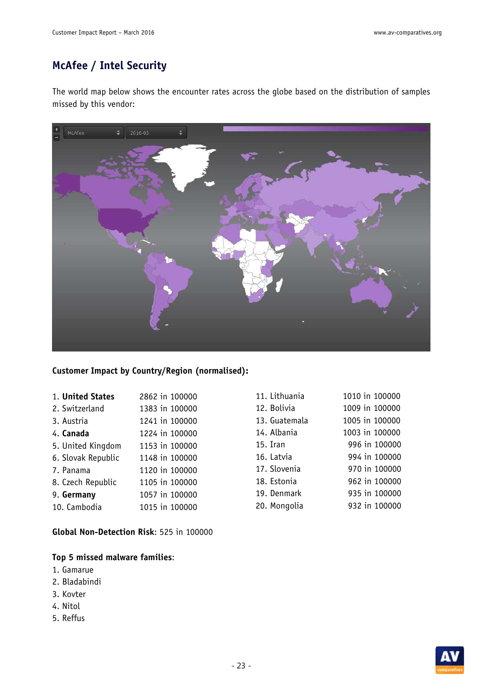## **McAfee / Intel Security**

The world map below shows the encounter rates across the globe based on the distribution of samples missed by this vendor:



#### **Customer Impact by Country/Region (normalised):**

| 1. United States   | 2862 in 100000 |
|--------------------|----------------|
| 2. Switzerland     | 1383 in 100000 |
| 3. Austria         | 1241 in 100000 |
| 4. Canada          | 1224 in 100000 |
| 5. United Kingdom  | 1153 in 100000 |
| 6. Slovak Republic | 1148 in 100000 |
| 7. Panama          | 1120 in 100000 |
| 8. Czech Republic  | 1105 in 100000 |
| 9. Germany         | 1057 in 100000 |
| 10. Cambodia       | 1015 in 100000 |
|                    |                |

**Global Non-Detection Risk**: 525 in 100000

- 1. Gamarue
- 2. Bladabindi
- 3. Kovter
- 4. Nitol
- 5. Reffus

| 1010 in 100000 |
|----------------|
| 1009 in 100000 |
| 1005 in 100000 |
| 1003 in 100000 |
| 996 in 100000  |
| 994 in 100000  |
| 970 in 100000  |
| 962 in 100000  |
| 935 in 100000  |
| 932 in 100000  |
|                |

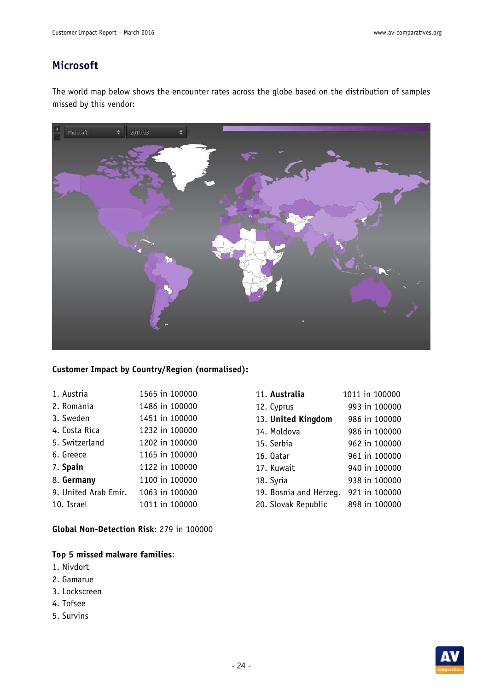### **Microsoft**

The world map below shows the encounter rates across the globe based on the distribution of samples missed by this vendor:



#### **Customer Impact by Country/Region (normalised):**

| 1. Austria           | 1565 in 100000 |
|----------------------|----------------|
| 2. Romania           | 1486 in 100000 |
| 3. Sweden            | 1451 in 100000 |
| 4. Costa Rica        | 1232 in 100000 |
| 5. Switzerland       | 1202 in 100000 |
| 6. Greece            | 1165 in 100000 |
| 7. Spain             | 1122 in 100000 |
| 8. Germany           | 1100 in 100000 |
| 9. United Arab Emir. | 1063 in 100000 |
| 10. Israel           | 1011 in 100000 |

**Global Non-Detection Risk**: 279 in 100000

- 1. Nivdort
- 2. Gamarue
- 3. Lockscreen
- 4. Tofsee
- 5. Survins

| 11. Australia          | 1011 in 100000 |
|------------------------|----------------|
| 12. Cyprus             | 993 in 100000  |
| 13. United Kingdom     | 986 in 100000  |
| 14. Moldova            | 986 in 100000  |
| 15. Serbia             | 962 in 100000  |
| 16. Qatar              | 961 in 100000  |
| 17. Kuwait             | 940 in 100000  |
| 18. Syria              | 938 in 100000  |
| 19. Bosnia and Herzeg. | 921 in 100000  |
| 20. Slovak Republic    | 898 in 100000  |

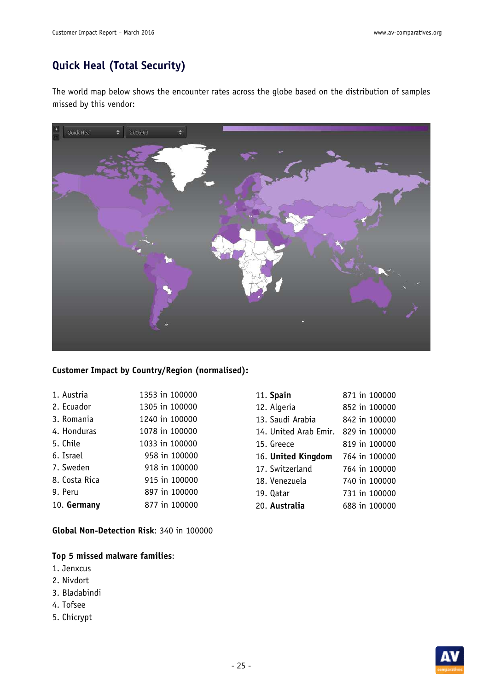## **Quick Heal (Total Security)**

The world map below shows the encounter rates across the globe based on the distribution of samples missed by this vendor:



#### **Customer Impact by Country/Region (normalised):**

| 1. Austria    | 1353 in 100000 |
|---------------|----------------|
| 2. Ecuador    | 1305 in 100000 |
| 3. Romania    | 1240 in 100000 |
| 4. Honduras   | 1078 in 100000 |
| 5. Chile      | 1033 in 100000 |
| 6. Israel     | 958 in 100000  |
| 7. Sweden     | 918 in 100000  |
| 8. Costa Rica | 915 in 100000  |
| 9. Peru       | 897 in 100000  |
| 10. Germany   | 877 in 100000  |

**Global Non-Detection Risk**: 340 in 100000

- 1. Jenxcus
- 2. Nivdort
- 3. Bladabindi
- 4. Tofsee
- 5. Chicrypt

| 11. Spain             | 871 in 100000 |
|-----------------------|---------------|
| 12. Algeria           | 852 in 100000 |
| 13. Saudi Arabia      | 842 in 100000 |
| 14. United Arab Emir. | 829 in 100000 |
| 15. Greece            | 819 in 100000 |
| 16. United Kingdom    | 764 in 100000 |
| 17. Switzerland       | 764 in 100000 |
| 18. Venezuela         | 740 in 100000 |
| 19. Qatar             | 731 in 100000 |
| 20. Australia         | 688 in 100000 |

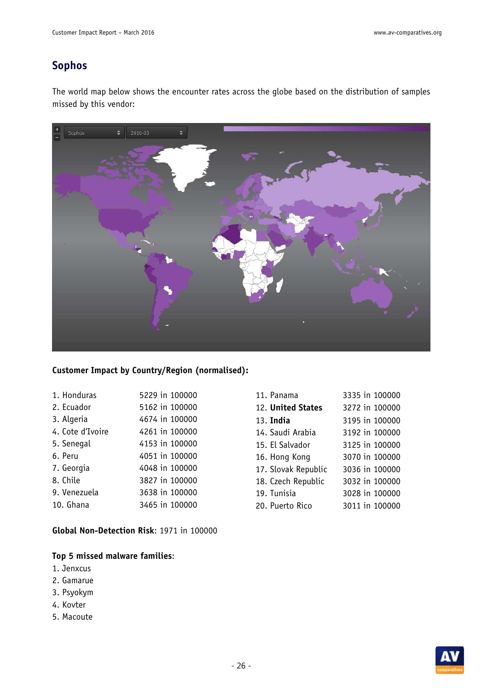### **Sophos**

The world map below shows the encounter rates across the globe based on the distribution of samples missed by this vendor:



#### **Customer Impact by Country/Region (normalised):**

| 1. Honduras      | 5229 in 100000 |
|------------------|----------------|
| 2. Ecuador       | 5162 in 100000 |
| 3. Algeria       | 4674 in 100000 |
| 4. Cote d'Ivoire | 4261 in 100000 |
| 5. Senegal       | 4153 in 100000 |
| 6. Peru          | 4051 in 100000 |
| 7. Georgia       | 4048 in 100000 |
| 8. Chile         | 3827 in 100000 |
| 9. Venezuela     | 3638 in 100000 |
| 10. Ghana        | 3465 in 100000 |

**Global Non-Detection Risk**: 1971 in 100000

- 1. Jenxcus
- 2. Gamarue
- 3. Psyokym
- 4. Kovter
- 5. Macoute

| 11. Panama          | 3335 in 100000 |
|---------------------|----------------|
| 12. United States   | 3272 in 100000 |
| 13. <b>India</b>    | 3195 in 100000 |
| 14. Saudi Arabia    | 3192 in 100000 |
| 15. El Salvador     | 3125 in 100000 |
| 16. Hong Kong       | 3070 in 100000 |
| 17. Slovak Republic | 3036 in 100000 |
| 18. Czech Republic  | 3032 in 100000 |
| 19. Tunisia         | 3028 in 100000 |
| 20. Puerto Rico     | 3011 in 100000 |
|                     |                |

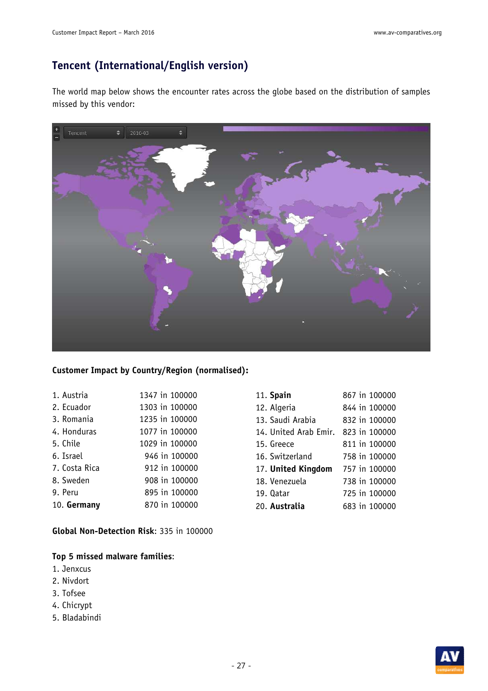### **Tencent (International/English version)**

The world map below shows the encounter rates across the globe based on the distribution of samples missed by this vendor:



#### **Customer Impact by Country/Region (normalised):**

| 1347 in 100000 |
|----------------|
| 1303 in 100000 |
| 1235 in 100000 |
| 1077 in 100000 |
| 1029 in 100000 |
| 946 in 100000  |
| 912 in 100000  |
| 908 in 100000  |
| 895 in 100000  |
| 870 in 100000  |
|                |

**Global Non-Detection Risk**: 335 in 100000

- 1. Jenxcus
- 2. Nivdort
- 3. Tofsee
- 4. Chicrypt
- 5. Bladabindi

| 11. Spain             |  | 867 in 100000 |
|-----------------------|--|---------------|
| 12. Algeria           |  | 844 in 100000 |
| 13. Saudi Arabia      |  | 832 in 100000 |
| 14. United Arab Emir. |  | 823 in 100000 |
| 15. Greece            |  | 811 in 100000 |
| 16. Switzerland       |  | 758 in 100000 |
| 17. United Kingdom    |  | 757 in 100000 |
| 18. Venezuela         |  | 738 in 100000 |
| 19. Oatar             |  | 725 in 100000 |
| 20. Australia         |  | 683 in 100000 |

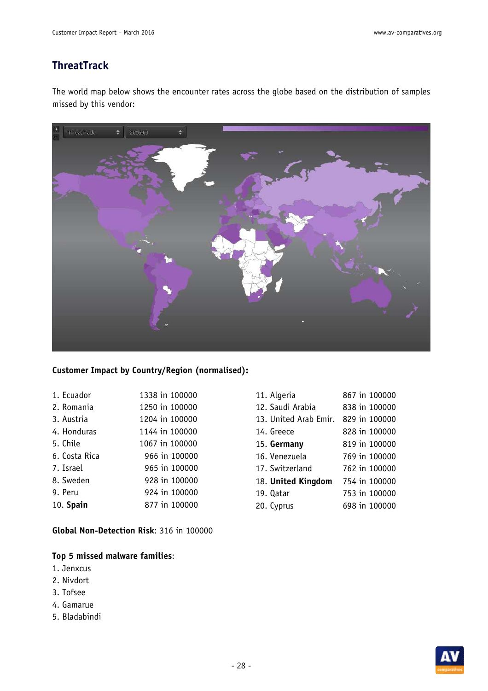### **ThreatTrack**

The world map below shows the encounter rates across the globe based on the distribution of samples missed by this vendor:



#### **Customer Impact by Country/Region (normalised):**

| 1. Ecuador    | 1338 in 100000 |
|---------------|----------------|
| 2. Romania    | 1250 in 100000 |
| 3. Austria    | 1204 in 100000 |
| 4. Honduras   | 1144 in 100000 |
| 5. Chile      | 1067 in 100000 |
| 6. Costa Rica | 966 in 100000  |
| 7. Israel     | 965 in 100000  |
| 8. Sweden     | 928 in 100000  |
| 9. Peru       | 924 in 100000  |
| $10.$ Spain   | 877 in 100000  |

**Global Non-Detection Risk**: 316 in 100000

- 1. Jenxcus
- 2. Nivdort
- 3. Tofsee
- 4. Gamarue
- 5. Bladabindi

| 11. Algeria           | 867 in 100000 |
|-----------------------|---------------|
| 12. Saudi Arabia      | 838 in 100000 |
| 13. United Arab Emir. | 829 in 100000 |
| 14. Greece            | 828 in 100000 |
| 15. Germany           | 819 in 100000 |
| 16. Venezuela         | 769 in 100000 |
| 17. Switzerland       | 762 in 100000 |
| 18. United Kingdom    | 754 in 100000 |
| 19. Qatar             | 753 in 100000 |
| 20. Cyprus            | 698 in 100000 |
|                       |               |

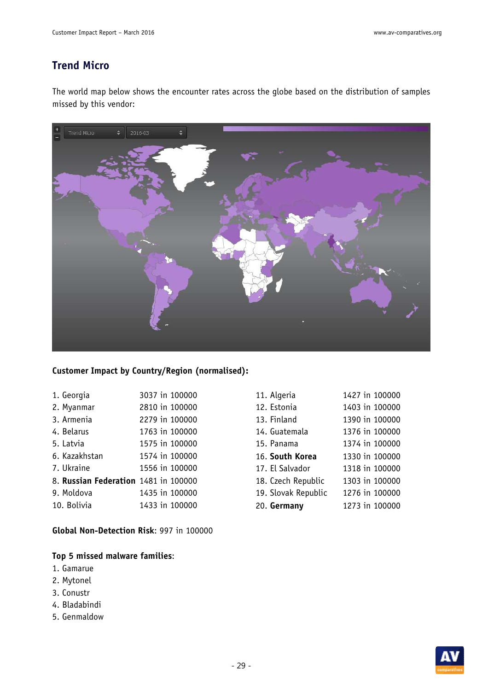### **Trend Micro**

The world map below shows the encounter rates across the globe based on the distribution of samples missed by this vendor:



#### **Customer Impact by Country/Region (normalised):**

| 1. Georgia                           | 3037 in 100000 |
|--------------------------------------|----------------|
| 2. Myanmar                           | 2810 in 100000 |
| 3. Armenia                           | 2279 in 100000 |
| 4. Belarus                           | 1763 in 100000 |
| 5. Latvia                            | 1575 in 100000 |
| 6. Kazakhstan                        | 1574 in 100000 |
| 7. Ukraine                           | 1556 in 100000 |
| 8. Russian Federation 1481 in 100000 |                |
| 9. Moldova                           | 1435 in 100000 |
| 10. Bolivia                          | 1433 in 100000 |

**Global Non-Detection Risk**: 997 in 100000

- 1. Gamarue
- 2. Mytonel
- 3. Conustr
- 4. Bladabindi
- 5. Genmaldow

| 11. Algeria         | 1427 in 100000 |
|---------------------|----------------|
| 12. Estonia         | 1403 in 100000 |
| 13. Finland         | 1390 in 100000 |
| 14. Guatemala       | 1376 in 100000 |
| 15. Panama          | 1374 in 100000 |
| 16. South Korea     | 1330 in 100000 |
| 17. El Salvador     | 1318 in 100000 |
| 18. Czech Republic  | 1303 in 100000 |
| 19. Slovak Republic | 1276 in 100000 |
| 20. Germany         | 1273 in 100000 |